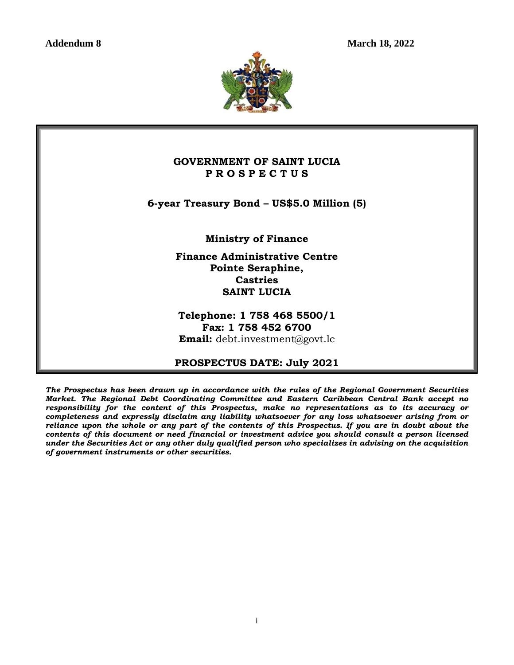**Addendum 8 March 18, 2022**



## **GOVERNMENT OF SAINT LUCIA P R O S P E C T U S**

**6-year Treasury Bond – US\$5.0 Million (5)**

**Ministry of Finance** 

**Finance Administrative Centre Pointe Seraphine, Castries SAINT LUCIA**

**Telephone: 1 758 468 5500/1 Fax: 1 758 452 6700 Email:** [debt.investment@govt.lc](mailto:debt.investment@govt.lc)

## **PROSPECTUS DATE: July 2021**

*The Prospectus has been drawn up in accordance with the rules of the Regional Government Securities Market. The Regional Debt Coordinating Committee and Eastern Caribbean Central Bank accept no responsibility for the content of this Prospectus, make no representations as to its accuracy or completeness and expressly disclaim any liability whatsoever for any loss whatsoever arising from or reliance upon the whole or any part of the contents of this Prospectus. If you are in doubt about the contents of this document or need financial or investment advice you should consult a person licensed under the Securities Act or any other duly qualified person who specializes in advising on the acquisition of government instruments or other securities.*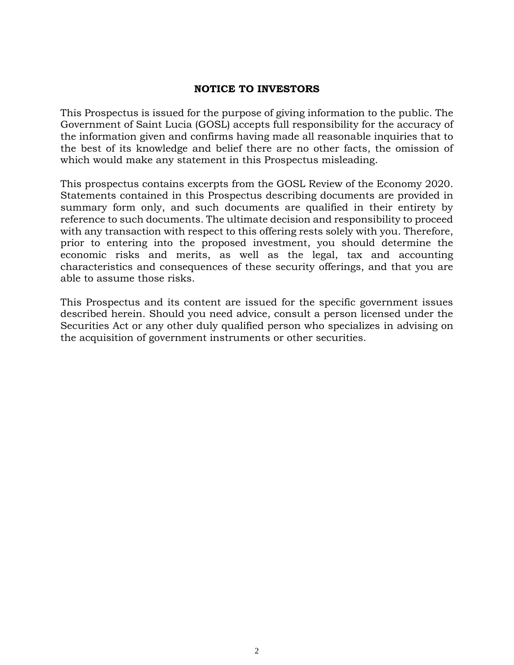### **NOTICE TO INVESTORS**

This Prospectus is issued for the purpose of giving information to the public. The Government of Saint Lucia (GOSL) accepts full responsibility for the accuracy of the information given and confirms having made all reasonable inquiries that to the best of its knowledge and belief there are no other facts, the omission of which would make any statement in this Prospectus misleading.

This prospectus contains excerpts from the GOSL Review of the Economy 2020. Statements contained in this Prospectus describing documents are provided in summary form only, and such documents are qualified in their entirety by reference to such documents. The ultimate decision and responsibility to proceed with any transaction with respect to this offering rests solely with you. Therefore, prior to entering into the proposed investment, you should determine the economic risks and merits, as well as the legal, tax and accounting characteristics and consequences of these security offerings, and that you are able to assume those risks.

This Prospectus and its content are issued for the specific government issues described herein. Should you need advice, consult a person licensed under the Securities Act or any other duly qualified person who specializes in advising on the acquisition of government instruments or other securities.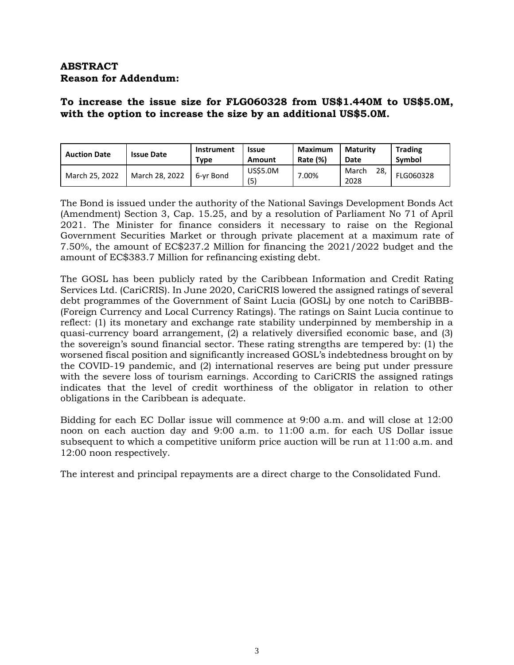# **ABSTRACT Reason for Addendum:**

# **To increase the issue size for FLG060328 from US\$1.440M to US\$5.0M, with the option to increase the size by an additional US\$5.0M.**

| <b>Auction Date</b> | <b>Issue Date</b> | Instrument<br>Type | <b>Issue</b><br>Amount | <b>Maximum</b><br>Rate (%) | <b>Maturity</b><br>Date | <b>Trading</b><br>Symbol |
|---------------------|-------------------|--------------------|------------------------|----------------------------|-------------------------|--------------------------|
| March 25, 2022      | March 28, 2022    | 6-vr Bond          | <b>US\$5.0M</b><br>(5) | $0.00\%$                   | 28,<br>March<br>2028    | FLG060328                |

The Bond is issued under the authority of the National Savings Development Bonds Act (Amendment) Section 3, Cap. 15.25, and by a resolution of Parliament No 71 of April 2021. The Minister for finance considers it necessary to raise on the Regional Government Securities Market or through private placement at a maximum rate of 7.50%, the amount of EC\$237.2 Million for financing the 2021/2022 budget and the amount of EC\$383.7 Million for refinancing existing debt.

The GOSL has been publicly rated by the Caribbean Information and Credit Rating Services Ltd. (CariCRIS). In June 2020, CariCRIS lowered the assigned ratings of several debt programmes of the Government of Saint Lucia (GOSL) by one notch to CariBBB- (Foreign Currency and Local Currency Ratings). The ratings on Saint Lucia continue to reflect: (1) its monetary and exchange rate stability underpinned by membership in a quasi-currency board arrangement, (2) a relatively diversified economic base, and (3) the sovereign's sound financial sector. These rating strengths are tempered by: (1) the worsened fiscal position and significantly increased GOSL's indebtedness brought on by the COVID-19 pandemic, and (2) international reserves are being put under pressure with the severe loss of tourism earnings. According to CariCRIS the assigned ratings indicates that the level of credit worthiness of the obligator in relation to other obligations in the Caribbean is adequate.

Bidding for each EC Dollar issue will commence at 9:00 a.m. and will close at 12:00 noon on each auction day and 9:00 a.m. to 11:00 a.m. for each US Dollar issue subsequent to which a competitive uniform price auction will be run at 11:00 a.m. and 12:00 noon respectively.

The interest and principal repayments are a direct charge to the Consolidated Fund.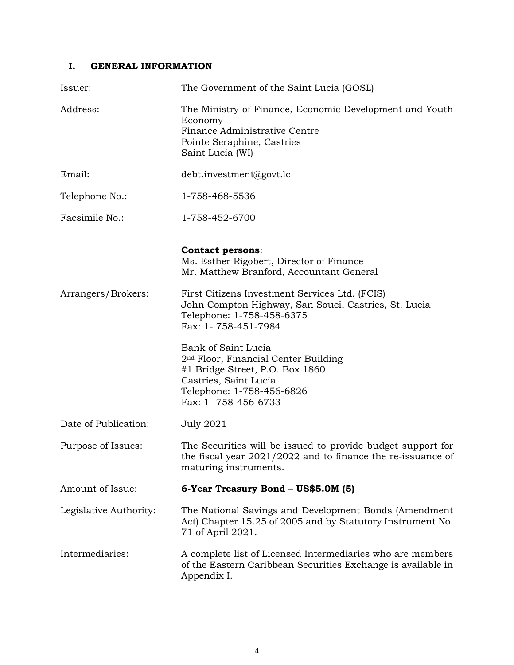### **I. GENERAL INFORMATION**

| Issuer:                | The Government of the Saint Lucia (GOSL)                                                                                                                                                 |
|------------------------|------------------------------------------------------------------------------------------------------------------------------------------------------------------------------------------|
| Address:               | The Ministry of Finance, Economic Development and Youth<br>Economy<br>Finance Administrative Centre<br>Pointe Seraphine, Castries<br>Saint Lucia (WI)                                    |
| Email:                 | debt.investment@govt.lc                                                                                                                                                                  |
| Telephone No.:         | 1-758-468-5536                                                                                                                                                                           |
| Facsimile No.:         | 1-758-452-6700                                                                                                                                                                           |
|                        | <b>Contact persons:</b><br>Ms. Esther Rigobert, Director of Finance<br>Mr. Matthew Branford, Accountant General                                                                          |
| Arrangers/Brokers:     | First Citizens Investment Services Ltd. (FCIS)<br>John Compton Highway, San Souci, Castries, St. Lucia<br>Telephone: 1-758-458-6375<br>Fax: 1-758-451-7984                               |
|                        | Bank of Saint Lucia<br>2 <sup>nd</sup> Floor, Financial Center Building<br>#1 Bridge Street, P.O. Box 1860<br>Castries, Saint Lucia<br>Telephone: 1-758-456-6826<br>Fax: 1 -758-456-6733 |
| Date of Publication:   | <b>July 2021</b>                                                                                                                                                                         |
| Purpose of Issues:     | The Securities will be issued to provide budget support for<br>the fiscal year 2021/2022 and to finance the re-issuance of<br>maturing instruments.                                      |
| Amount of Issue:       | 6-Year Treasury Bond - US\$5.0M (5)                                                                                                                                                      |
| Legislative Authority: | The National Savings and Development Bonds (Amendment<br>Act) Chapter 15.25 of 2005 and by Statutory Instrument No.<br>71 of April 2021.                                                 |
| Intermediaries:        | A complete list of Licensed Intermediaries who are members<br>of the Eastern Caribbean Securities Exchange is available in<br>Appendix I.                                                |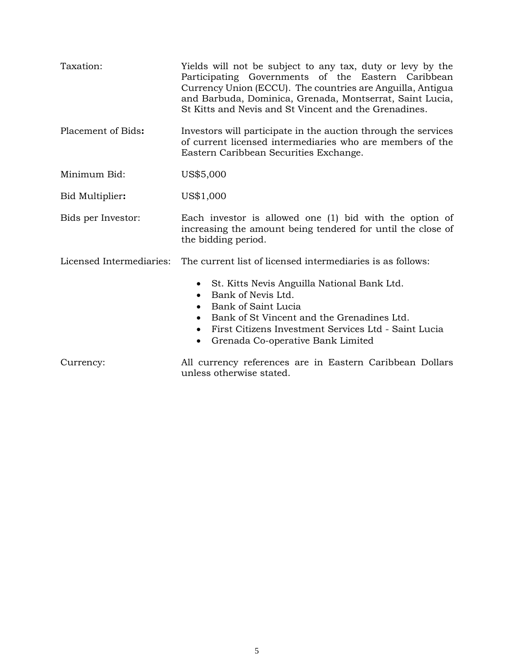| Taxation:                | Yields will not be subject to any tax, duty or levy by the<br>Participating Governments of the Eastern Caribbean<br>Currency Union (ECCU). The countries are Anguilla, Antigua<br>and Barbuda, Dominica, Grenada, Montserrat, Saint Lucia,<br>St Kitts and Nevis and St Vincent and the Grenadines. |
|--------------------------|-----------------------------------------------------------------------------------------------------------------------------------------------------------------------------------------------------------------------------------------------------------------------------------------------------|
| Placement of Bids:       | Investors will participate in the auction through the services<br>of current licensed intermediaries who are members of the<br>Eastern Caribbean Securities Exchange.                                                                                                                               |
| Minimum Bid:             | US\$5,000                                                                                                                                                                                                                                                                                           |
| Bid Multiplier:          | US\$1,000                                                                                                                                                                                                                                                                                           |
| Bids per Investor:       | Each investor is allowed one (1) bid with the option of<br>increasing the amount being tendered for until the close of<br>the bidding period.                                                                                                                                                       |
| Licensed Intermediaries: | The current list of licensed intermediaries is as follows:                                                                                                                                                                                                                                          |
|                          | St. Kitts Nevis Anguilla National Bank Ltd.<br>$\bullet$<br>Bank of Nevis Ltd.<br>Bank of Saint Lucia<br>Bank of St Vincent and the Grenadines Ltd.<br>$\bullet$<br>First Citizens Investment Services Ltd - Saint Lucia<br>$\bullet$<br>Grenada Co-operative Bank Limited<br>$\bullet$             |
| Currency:                | All currency references are in Eastern Caribbean Dollars<br>unless otherwise stated.                                                                                                                                                                                                                |